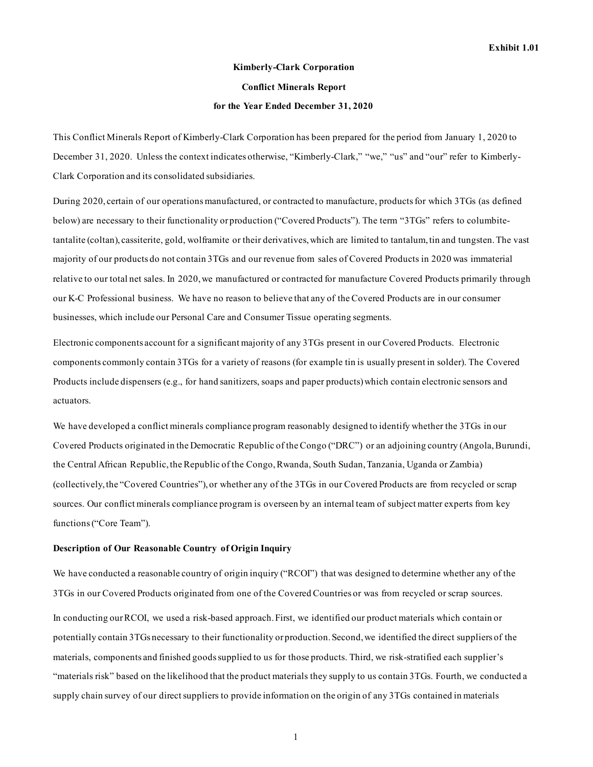# **Kimberly-Clark Corporation Conflict Minerals Report for the Year Ended December 31, 2020**

This Conflict Minerals Report of Kimberly-Clark Corporation has been prepared for the period from January 1, 2020 to December 31, 2020. Unless the context indicates otherwise, "Kimberly-Clark," "we," "us" and "our" refer to Kimberly-Clark Corporation and its consolidated subsidiaries.

During 2020, certain of our operations manufactured, or contracted to manufacture, products for which 3TGs (as defined below) are necessary to their functionality or production ("Covered Products"). The term "3TGs" refers to columbitetantalite (coltan), cassiterite, gold, wolframite or their derivatives, which are limited to tantalum, tin and tungsten. The vast majority of our products do not contain 3TGs and our revenue from sales of Covered Products in 2020 was immaterial relative to our total net sales. In 2020, we manufactured or contracted for manufacture Covered Products primarily through our K-C Professional business. We have no reason to believe that any of the Covered Products are in our consumer businesses, which include our Personal Care and Consumer Tissue operating segments.

Electronic components account for a significant majority of any 3TGs present in our Covered Products. Electronic components commonly contain 3TGs for a variety of reasons (for example tin is usually present in solder). The Covered Products include dispensers (e.g., for hand sanitizers, soaps and paper products) which contain electronic sensors and actuators.

We have developed a conflict minerals compliance program reasonably designed to identify whether the 3TGs in our Covered Products originated in the Democratic Republic of the Congo ("DRC") or an adjoining country (Angola, Burundi, the Central African Republic, the Republic of the Congo, Rwanda, South Sudan, Tanzania, Uganda or Zambia) (collectively, the "Covered Countries"), or whether any of the 3TGs in our Covered Products are from recycled or scrap sources. Our conflict minerals compliance program is overseen by an internal team of subject matter experts from key functions ("Core Team").

#### **Description of Our Reasonable Country of Origin Inquiry**

We have conducted a reasonable country of origin inquiry ("RCOI") that was designed to determine whether any of the 3TGs in our Covered Products originated from one of the Covered Countries or was from recycled or scrap sources. In conducting our RCOI, we used a risk-based approach. First, we identified our product materials which contain or potentially contain 3TGs necessary to their functionality or production. Second, we identified the direct suppliers of the materials, components and finished goods supplied to us for those products. Third, we risk-stratified each supplier's "materials risk" based on the likelihood that the product materials they supply to us contain 3TGs. Fourth, we conducted a supply chain survey of our direct suppliers to provide information on the origin of any 3TGs contained in materials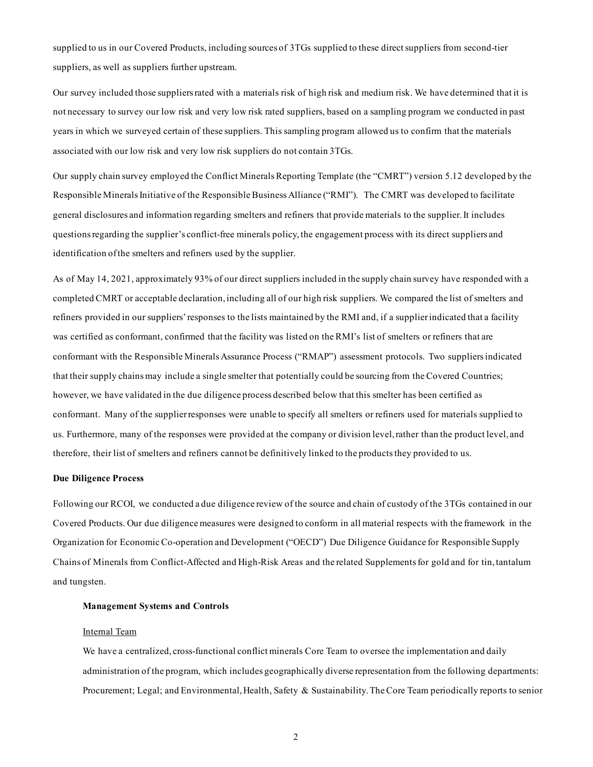supplied to us in our Covered Products, including sources of 3TGs supplied to these direct suppliers from second-tier suppliers, as well as suppliers further upstream.

Our survey included those suppliers rated with a materials risk of high risk and medium risk. We have determined that it is not necessary to survey our low risk and very low risk rated suppliers, based on a sampling program we conducted in past years in which we surveyed certain of these suppliers. This sampling program allowed us to confirm that the materials associated with our low risk and very low risk suppliers do not contain 3TGs.

Our supply chain survey employed the Conflict Minerals Reporting Template (the "CMRT") version 5.12 developed by the Responsible Minerals Initiative of the Responsible Business Alliance ("RMI"). The CMRT was developed to facilitate general disclosures and information regarding smelters and refiners that provide materials to the supplier. It includes questions regarding the supplier's conflict-free minerals policy, the engagement process with its direct suppliers and identification of the smelters and refiners used by the supplier.

As of May 14, 2021, approximately 93% of our direct suppliers included in the supply chain survey have responded with a completed CMRT or acceptable declaration, including all of our high risk suppliers. We compared the list of smelters and refiners provided in our suppliers' responses to the lists maintained by the RMI and, if a supplier indicated that a facility was certified as conformant, confirmed that the facility was listed on the RMI's list of smelters or refiners that are conformant with the [Responsible Minerals Assurance Process \("RMAP"\) assessment protocols.](http://www.responsiblemineralsinitiative.org/responsible-minerals-assurance-process/audit-process-and-roles/) Two suppliers indicated that their supply chains may include a single smelter that potentially could be sourcing from the Covered Countries; however, we have validated in the due diligence process described below that this smelter has been certified as conformant. Many of the supplier responses were unable to specify all smelters or refiners used for materials supplied to us. Furthermore, many of the responses were provided at the company or division level, rather than the product level, and therefore, their list of smelters and refiners cannot be definitively linked to the products they provided to us.

#### **Due Diligence Process**

Following our RCOI, we conducted a due diligence review of the source and chain of custody of the 3TGs contained in our Covered Products. Our due diligence measures were designed to conform in all material respects with the framework in the Organization for Economic Co-operation and Development ("OECD") Due Diligence Guidance for Responsible Supply Chains of Minerals from Conflict-Affected and High-Risk Areas and the related Supplements for gold and for tin, tantalum and tungsten.

#### **Management Systems and Controls**

#### Internal Team

We have a centralized, cross-functional conflict minerals Core Team to oversee the implementation and daily administration of the program, which includes geographically diverse representation from the following departments: Procurement; Legal; and Environmental, Health, Safety & Sustainability.The Core Team periodically reports to senior

2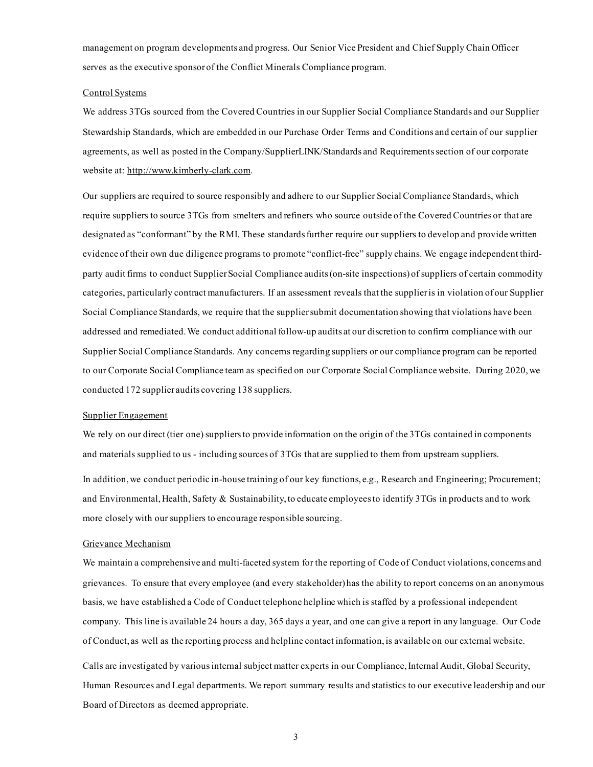management on program developments and progress. Our Senior Vice President and Chief Supply Chain Officer serves as the executive sponsor of the Conflict Minerals Compliance program.

#### Control Systems

We address 3TGs sourced from the Covered Countries in our Supplier Social Compliance Standards and our Supplier Stewardship Standards, which are embedded in our Purchase Order Terms and Conditions and certain of our supplier agreements, as well as posted in the Company/SupplierLINK/Standards and Requirementssection of our corporate website at: http://www.kimberly-clark.com.

Our suppliers are required to source responsibly and adhere to our Supplier Social Compliance Standards, which require suppliers to source 3TGs from smelters and refiners who source outside of the Covered Countries or that are designated as "conformant" by the RMI. These standards further require our suppliers to develop and provide written evidence of their own due diligence programs to promote "conflict-free" supply chains. We engage independent thirdparty audit firms to conduct Supplier Social Compliance audits (on-site inspections) of suppliers of certain commodity categories, particularly contract manufacturers. If an assessment reveals that the supplier is in violation of our Supplier Social Compliance Standards, we require that the supplier submit documentation showing that violations have been addressed and remediated. We conduct additional follow-up audits at our discretion to confirm compliance with our Supplier Social Compliance Standards. Any concerns regarding suppliers or our compliance program can be reported to our Corporate Social Compliance team as specified on our Corporate Social Compliance website. During 2020, we conducted 172 supplier audits covering 138 suppliers.

#### Supplier Engagement

We rely on our direct (tier one) suppliers to provide information on the origin of the 3TGs contained in components and materials supplied to us - including sources of 3TGs that are supplied to them from upstream suppliers.

In addition, we conduct periodic in-house training of our key functions, e.g., Research and Engineering; Procurement; and Environmental, Health, Safety & Sustainability, to educate employees to identify 3TGs in products and to work more closely with our suppliers to encourage responsible sourcing.

#### Grievance Mechanism

We maintain a comprehensive and multi-faceted system for the reporting of Code of Conduct violations, concerns and grievances. To ensure that every employee (and every stakeholder) has the ability to report concerns on an anonymous basis, we have established a Code of Conduct telephone helpline which is staffed by a professional independent company. This line is available 24 hours a day, 365 days a year, and one can give a report in any language. Our Code of Conduct, as well as the reporting process and helpline contact information, is available on our external website.

Calls are investigated by various internal subject matter experts in our Compliance, Internal Audit, Global Security, Human Resources and Legal departments. We report summary results and statistics to our executive leadership and our Board of Directors as deemed appropriate.

3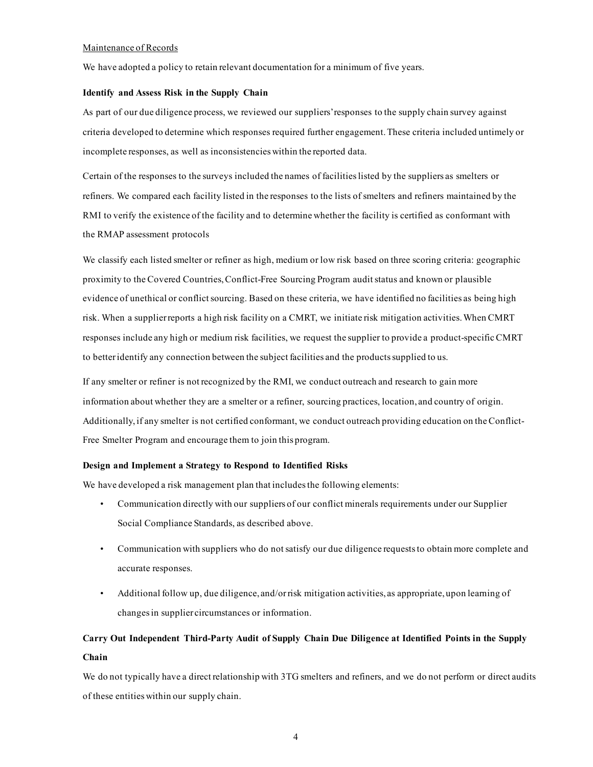#### Maintenance of Records

We have adopted a policy to retain relevant documentation for a minimum of five years.

#### **Identify and Assess Risk in the Supply Chain**

As part of our due diligence process, we reviewed our suppliers' responses to the supply chain survey against criteria developed to determine which responses required further engagement. These criteria included untimely or incomplete responses, as well as inconsistencies within the reported data.

Certain of the responses to the surveys included the names of facilities listed by the suppliers as smelters or refiners. We compared each facility listed in the responses to the lists of smelters and refiners maintained by the RMI to verify the existence of the facility and to determine whether the facility is certified as conformant with the RMAP [assessment protocols](http://www.responsiblemineralsinitiative.org/responsible-minerals-assurance-process/audit-process-and-roles/)

We classify each listed smelter or refiner as high, medium or low risk based on three scoring criteria: geographic proximity to the Covered Countries, Conflict-Free Sourcing Program audit status and known or plausible evidence of unethical or conflict sourcing. Based on these criteria, we have identified no facilities as being high risk. When a supplier reports a high risk facility on a CMRT, we initiate risk mitigation activities. When CMRT responses include any high or medium risk facilities, we request the supplier to provide a product-specific CMRT to better identify any connection between the subject facilities and the products supplied to us.

If any smelter or refiner is not recognized by the RMI, we conduct outreach and research to gain more information about whether they are a smelter or a refiner, sourcing practices, location, and country of origin. Additionally, if any smelter is not certified conformant, we conduct outreach providing education on the Conflict-Free Smelter Program and encourage them to join this program.

#### **Design and Implement a Strategy to Respond to Identified Risks**

We have developed a risk management plan that includes the following elements:

- Communication directly with our suppliers of our conflict minerals requirements under our Supplier Social Compliance Standards, as described above.
- Communication with suppliers who do not satisfy our due diligence requests to obtain more complete and accurate responses.
- Additional follow up, due diligence, and/or risk mitigation activities, as appropriate, upon learning of changes in supplier circumstances or information.

## **Carry Out Independent Third-Party Audit of Supply Chain Due Diligence at Identified Points in the Supply Chain**

We do not typically have a direct relationship with 3TG smelters and refiners, and we do not perform or direct audits of these entities within our supply chain.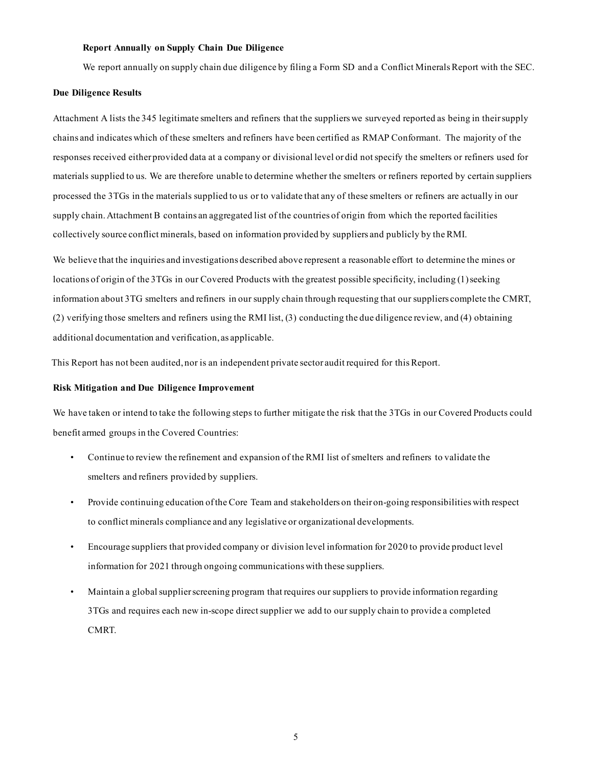#### **Report Annually on Supply Chain Due Diligence**

We report annually on supply chain due diligence by filing a Form SD and a Conflict Minerals Report with the SEC.

#### **Due Diligence Results**

Attachment A lists the 345 legitimate smelters and refiners that the suppliers we surveyed reported as being in their supply chains and indicates which of these smelters and refiners have been certified as RMAP Conformant. The majority of the responses received either provided data at a company or divisional level or did not specify the smelters or refiners used for materials supplied to us. We are therefore unable to determine whether the smelters or refiners reported by certain suppliers processed the 3TGs in the materials supplied to us or to validate that any of these smelters or refiners are actually in our supply chain. Attachment B contains an aggregated list of the countries of origin from which the reported facilities collectively source conflict minerals, based on information provided by suppliers and publicly by the RMI.

We believe that the inquiries and investigations described above represent a reasonable effort to determine the mines or locations of origin of the 3TGs in our Covered Products with the greatest possible specificity, including (1) seeking information about 3TG smelters and refiners in our supply chain through requesting that our suppliers complete the CMRT, (2) verifying those smelters and refiners using the RMI list, (3) conducting the due diligence review, and (4) obtaining additional documentation and verification, as applicable.

This Report has not been audited, nor is an independent private sector audit required for this Report.

#### **Risk Mitigation and Due Diligence Improvement**

We have taken or intend to take the following steps to further mitigate the risk that the 3TGs in our Covered Products could benefit armed groups in the Covered Countries:

- Continue to review the refinement and expansion of the RMI list of smelters and refiners to validate the smelters and refiners provided by suppliers.
- Provide continuing education of the Core Team and stakeholders on their on-going responsibilities with respect to conflict minerals compliance and any legislative or organizational developments.
- Encourage suppliers that provided company or division level information for 2020 to provide product level information for 2021 through ongoing communications with these suppliers.
- Maintain a global supplier screening program that requires our suppliers to provide information regarding 3TGs and requires each new in-scope direct supplier we add to our supply chain to provide a completed CMRT.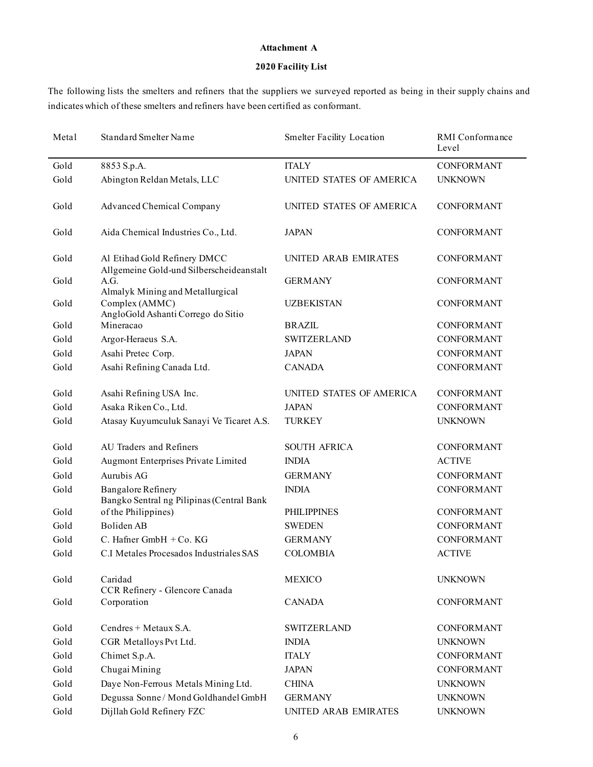#### **Attachment A**

## **2020 Facility List**

The following lists the smelters and refiners that the suppliers we surveyed reported as being in their supply chains and indicates which of these smelters and refiners have been certified as conformant.

| Metal | <b>Standard Smelter Name</b>                                             | <b>Smelter Facility Location</b> | RMI Conformance<br>Level |
|-------|--------------------------------------------------------------------------|----------------------------------|--------------------------|
| Gold  | 8853 S.p.A.                                                              | <b>ITALY</b>                     | <b>CONFORMANT</b>        |
| Gold  | Abington Reldan Metals, LLC                                              | UNITED STATES OF AMERICA         | <b>UNKNOWN</b>           |
| Gold  | Advanced Chemical Company                                                | UNITED STATES OF AMERICA         | <b>CONFORMANT</b>        |
| Gold  | Aida Chemical Industries Co., Ltd.                                       | <b>JAPAN</b>                     | CONFORMANT               |
| Gold  | Al Etihad Gold Refinery DMCC<br>Allgemeine Gold-und Silberscheideanstalt | UNITED ARAB EMIRATES             | <b>CONFORMANT</b>        |
| Gold  | A.G.<br>Almalyk Mining and Metallurgical                                 | <b>GERMANY</b>                   | <b>CONFORMANT</b>        |
| Gold  | Complex (AMMC)<br>AngloGold Ashanti Corrego do Sitio                     | <b>UZBEKISTAN</b>                | <b>CONFORMANT</b>        |
| Gold  | Mineracao                                                                | <b>BRAZIL</b>                    | <b>CONFORMANT</b>        |
| Gold  | Argor-Heraeus S.A.                                                       | <b>SWITZERLAND</b>               | <b>CONFORMANT</b>        |
| Gold  | Asahi Pretec Corp.                                                       | <b>JAPAN</b>                     | <b>CONFORMANT</b>        |
| Gold  | Asahi Refining Canada Ltd.                                               | <b>CANADA</b>                    | <b>CONFORMANT</b>        |
| Gold  | Asahi Refining USA Inc.                                                  | UNITED STATES OF AMERICA         | <b>CONFORMANT</b>        |
| Gold  | Asaka Riken Co., Ltd.                                                    | <b>JAPAN</b>                     | <b>CONFORMANT</b>        |
| Gold  | Atasay Kuyumculuk Sanayi Ve Ticaret A.S.                                 | <b>TURKEY</b>                    | <b>UNKNOWN</b>           |
| Gold  | AU Traders and Refiners                                                  | SOUTH AFRICA                     | <b>CONFORMANT</b>        |
| Gold  | Augmont Enterprises Private Limited                                      | <b>INDIA</b>                     | <b>ACTIVE</b>            |
| Gold  | Aurubis AG                                                               | <b>GERMANY</b>                   | <b>CONFORMANT</b>        |
| Gold  | <b>Bangalore Refinery</b><br>Bangko Sentral ng Pilipinas (Central Bank   | <b>INDIA</b>                     | <b>CONFORMANT</b>        |
| Gold  | of the Philippines)                                                      | <b>PHILIPPINES</b>               | <b>CONFORMANT</b>        |
| Gold  | Boliden AB                                                               | <b>SWEDEN</b>                    | <b>CONFORMANT</b>        |
| Gold  | C. Hafner GmbH $+$ Co. KG                                                | <b>GERMANY</b>                   | <b>CONFORMANT</b>        |
| Gold  | C.I Metales Procesados Industriales SAS                                  | <b>COLOMBIA</b>                  | <b>ACTIVE</b>            |
| Gold  | Caridad<br>CCR Refinery - Glencore Canada                                | <b>MEXICO</b>                    | <b>UNKNOWN</b>           |
| Gold  | Corporation                                                              | <b>CANADA</b>                    | <b>CONFORMANT</b>        |
| Gold  | Cendres + Metaux S.A.                                                    | <b>SWITZERLAND</b>               | <b>CONFORMANT</b>        |
| Gold  | CGR Metalloys Pvt Ltd.                                                   | <b>INDIA</b>                     | <b>UNKNOWN</b>           |
| Gold  | Chimet S.p.A.                                                            | <b>ITALY</b>                     | <b>CONFORMANT</b>        |
| Gold  | Chugai Mining                                                            | <b>JAPAN</b>                     | <b>CONFORMANT</b>        |
| Gold  | Daye Non-Ferrous Metals Mining Ltd.                                      | <b>CHINA</b>                     | <b>UNKNOWN</b>           |
| Gold  | Degussa Sonne / Mond Goldhandel GmbH                                     | <b>GERMANY</b>                   | <b>UNKNOWN</b>           |
| Gold  | Dijllah Gold Refinery FZC                                                | UNITED ARAB EMIRATES             | <b>UNKNOWN</b>           |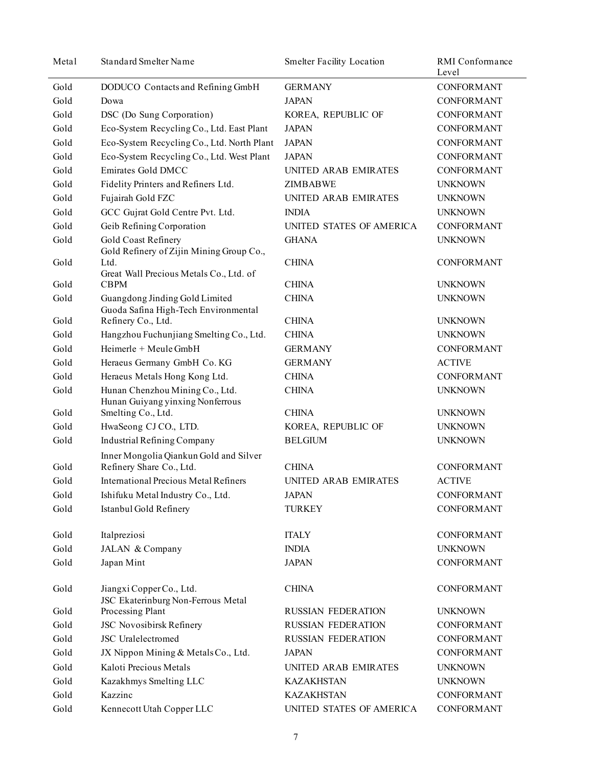| Metal | <b>Standard Smelter Name</b>                                           | <b>Smelter Facility Location</b> | RMI Conformance<br>Level |
|-------|------------------------------------------------------------------------|----------------------------------|--------------------------|
| Gold  | DODUCO Contacts and Refining GmbH                                      | <b>GERMANY</b>                   | <b>CONFORMANT</b>        |
| Gold  | Dowa                                                                   | <b>JAPAN</b>                     | <b>CONFORMANT</b>        |
| Gold  | DSC (Do Sung Corporation)                                              | KOREA, REPUBLIC OF               | CONFORMANT               |
| Gold  | Eco-System Recycling Co., Ltd. East Plant                              | <b>JAPAN</b>                     | <b>CONFORMANT</b>        |
| Gold  | Eco-System Recycling Co., Ltd. North Plant                             | <b>JAPAN</b>                     | <b>CONFORMANT</b>        |
| Gold  | Eco-System Recycling Co., Ltd. West Plant                              | <b>JAPAN</b>                     | <b>CONFORMANT</b>        |
| Gold  | Emirates Gold DMCC                                                     | UNITED ARAB EMIRATES             | <b>CONFORMANT</b>        |
| Gold  | Fidelity Printers and Refiners Ltd.                                    | <b>ZIMBABWE</b>                  | <b>UNKNOWN</b>           |
| Gold  | Fujairah Gold FZC                                                      | UNITED ARAB EMIRATES             | <b>UNKNOWN</b>           |
| Gold  | GCC Gujrat Gold Centre Pvt. Ltd.                                       | <b>INDIA</b>                     | <b>UNKNOWN</b>           |
| Gold  | Geib Refining Corporation                                              | UNITED STATES OF AMERICA         | <b>CONFORMANT</b>        |
| Gold  | Gold Coast Refinery<br>Gold Refinery of Zijin Mining Group Co.,        | <b>GHANA</b>                     | <b>UNKNOWN</b>           |
| Gold  | Ltd.<br>Great Wall Precious Metals Co., Ltd. of                        | <b>CHINA</b>                     | CONFORMANT               |
| Gold  | <b>CBPM</b>                                                            | <b>CHINA</b>                     | <b>UNKNOWN</b>           |
| Gold  | Guangdong Jinding Gold Limited<br>Guoda Safina High-Tech Environmental | <b>CHINA</b>                     | <b>UNKNOWN</b>           |
| Gold  | Refinery Co., Ltd.                                                     | <b>CHINA</b>                     | <b>UNKNOWN</b>           |
| Gold  | Hangzhou Fuchunjiang Smelting Co., Ltd.                                | <b>CHINA</b>                     | <b>UNKNOWN</b>           |
| Gold  | Heimerle $+$ Meule GmbH                                                | <b>GERMANY</b>                   | <b>CONFORMANT</b>        |
| Gold  | Heraeus Germany GmbH Co. KG                                            | <b>GERMANY</b>                   | <b>ACTIVE</b>            |
| Gold  | Heraeus Metals Hong Kong Ltd.                                          | <b>CHINA</b>                     | <b>CONFORMANT</b>        |
| Gold  | Hunan Chenzhou Mining Co., Ltd.<br>Hunan Guiyang yinxing Nonferrous    | <b>CHINA</b>                     | <b>UNKNOWN</b>           |
| Gold  | Smelting Co., Ltd.                                                     | <b>CHINA</b>                     | <b>UNKNOWN</b>           |
| Gold  | HwaSeong CJ CO., LTD.                                                  | KOREA, REPUBLIC OF               | <b>UNKNOWN</b>           |
| Gold  | <b>Industrial Refining Company</b>                                     | <b>BELGIUM</b>                   | <b>UNKNOWN</b>           |
| Gold  | Inner Mongolia Qiankun Gold and Silver<br>Refinery Share Co., Ltd.     | <b>CHINA</b>                     | <b>CONFORMANT</b>        |
| Gold  | <b>International Precious Metal Refiners</b>                           | UNITED ARAB EMIRATES             | <b>ACTIVE</b>            |
| Gold  | Ishifuku Metal Industry Co., Ltd.                                      | <b>JAPAN</b>                     | <b>CONFORMANT</b>        |
| Gold  | Istanbul Gold Refinery                                                 | <b>TURKEY</b>                    | <b>CONFORMANT</b>        |
| Gold  | Italpreziosi                                                           | <b>ITALY</b>                     | <b>CONFORMANT</b>        |
| Gold  | JALAN & Company                                                        | <b>INDIA</b>                     | <b>UNKNOWN</b>           |
| Gold  | Japan Mint                                                             | <b>JAPAN</b>                     | <b>CONFORMANT</b>        |
| Gold  | Jiangxi CopperCo., Ltd.<br>JSC Ekaterinburg Non-Ferrous Metal          | <b>CHINA</b>                     | <b>CONFORMANT</b>        |
| Gold  | Processing Plant                                                       | <b>RUSSIAN FEDERATION</b>        | <b>UNKNOWN</b>           |
| Gold  | JSC Novosibirsk Refinery                                               | <b>RUSSIAN FEDERATION</b>        | CONFORMANT               |
| Gold  | JSC Uralelectromed                                                     | <b>RUSSIAN FEDERATION</b>        | <b>CONFORMANT</b>        |
| Gold  | JX Nippon Mining & Metals Co., Ltd.                                    | <b>JAPAN</b>                     | <b>CONFORMANT</b>        |
| Gold  | Kaloti Precious Metals                                                 | UNITED ARAB EMIRATES             | <b>UNKNOWN</b>           |
| Gold  | Kazakhmys Smelting LLC                                                 | <b>KAZAKHSTAN</b>                | <b>UNKNOWN</b>           |
| Gold  | Kazzinc                                                                | <b>KAZAKHSTAN</b>                | CONFORMANT               |
| Gold  | Kennecott Utah Copper LLC                                              | UNITED STATES OF AMERICA         | CONFORMANT               |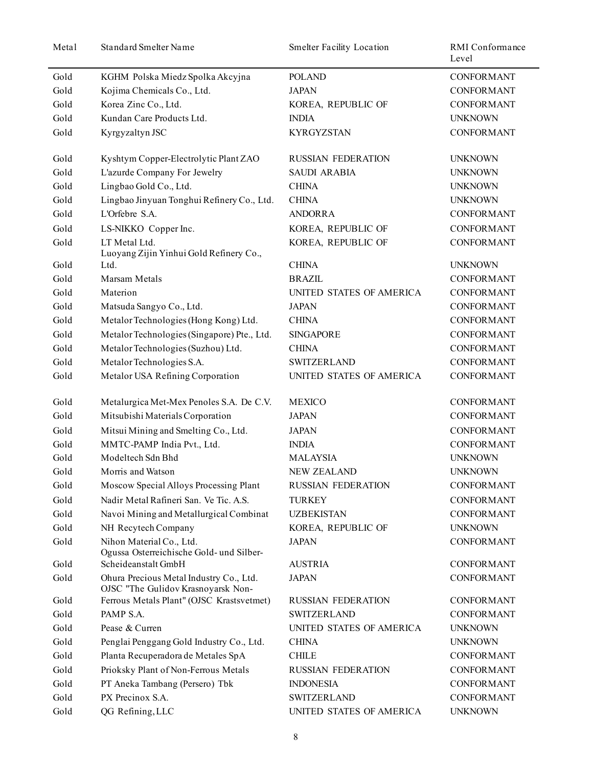| Metal | Standard Smelter Name                                                         | <b>Smelter Facility Location</b> | RMI Conformance<br>Level |
|-------|-------------------------------------------------------------------------------|----------------------------------|--------------------------|
| Gold  | KGHM Polska Miedz Spolka Akcyjna                                              | <b>POLAND</b>                    | <b>CONFORMANT</b>        |
| Gold  | Kojima Chemicals Co., Ltd.                                                    | <b>JAPAN</b>                     | <b>CONFORMANT</b>        |
| Gold  | Korea Zinc Co., Ltd.                                                          | KOREA, REPUBLIC OF               | <b>CONFORMANT</b>        |
| Gold  | Kundan Care Products Ltd.                                                     | <b>INDIA</b>                     | <b>UNKNOWN</b>           |
| Gold  | Kyrgyzaltyn JSC                                                               | <b>KYRGYZSTAN</b>                | <b>CONFORMANT</b>        |
| Gold  | Kyshtym Copper-Electrolytic Plant ZAO                                         | <b>RUSSIAN FEDERATION</b>        | <b>UNKNOWN</b>           |
| Gold  | L'azurde Company For Jewelry                                                  | <b>SAUDI ARABIA</b>              | <b>UNKNOWN</b>           |
| Gold  | Lingbao Gold Co., Ltd.                                                        | <b>CHINA</b>                     | <b>UNKNOWN</b>           |
| Gold  | Lingbao Jinyuan Tonghui Refinery Co., Ltd.                                    | <b>CHINA</b>                     | <b>UNKNOWN</b>           |
| Gold  | L'Orfebre S.A.                                                                | <b>ANDORRA</b>                   | <b>CONFORMANT</b>        |
| Gold  | LS-NIKKO Copper Inc.                                                          | KOREA, REPUBLIC OF               | <b>CONFORMANT</b>        |
| Gold  | LT Metal Ltd.<br>Luoyang Zijin Yinhui Gold Refinery Co.,                      | KOREA, REPUBLIC OF               | CONFORMANT               |
| Gold  | Ltd.                                                                          | <b>CHINA</b>                     | <b>UNKNOWN</b>           |
| Gold  | Marsam Metals                                                                 | <b>BRAZIL</b>                    | CONFORMANT               |
| Gold  | Materion                                                                      | UNITED STATES OF AMERICA         | <b>CONFORMANT</b>        |
| Gold  | Matsuda Sangyo Co., Ltd.                                                      | <b>JAPAN</b>                     | CONFORMANT               |
| Gold  | Metalor Technologies (Hong Kong) Ltd.                                         | <b>CHINA</b>                     | <b>CONFORMANT</b>        |
| Gold  | Metalor Technologies (Singapore) Pte., Ltd.                                   | <b>SINGAPORE</b>                 | <b>CONFORMANT</b>        |
| Gold  | Metalor Technologies (Suzhou) Ltd.                                            | <b>CHINA</b>                     | <b>CONFORMANT</b>        |
| Gold  | Metalor Technologies S.A.                                                     | <b>SWITZERLAND</b>               | <b>CONFORMANT</b>        |
| Gold  | Metalor USA Refining Corporation                                              | UNITED STATES OF AMERICA         | <b>CONFORMANT</b>        |
| Gold  | Metalurgica Met-Mex Penoles S.A. De C.V.                                      | <b>MEXICO</b>                    | <b>CONFORMANT</b>        |
| Gold  | Mitsubishi Materials Corporation                                              | <b>JAPAN</b>                     | CONFORMANT               |
| Gold  | Mitsui Mining and Smelting Co., Ltd.                                          | <b>JAPAN</b>                     | <b>CONFORMANT</b>        |
| Gold  | MMTC-PAMP India Pvt., Ltd.                                                    | <b>INDIA</b>                     | <b>CONFORMANT</b>        |
| Gold  | Modeltech Sdn Bhd                                                             | <b>MALAYSIA</b>                  | <b>UNKNOWN</b>           |
| Gold  | Morris and Watson                                                             | <b>NEW ZEALAND</b>               | <b>UNKNOWN</b>           |
| Gold  | Moscow Special Alloys Processing Plant                                        | <b>RUSSIAN FEDERATION</b>        | CONFORMANT               |
| Gold  | Nadir Metal Rafineri San. Ve Tic. A.S.                                        | <b>TURKEY</b>                    | <b>CONFORMANT</b>        |
| Gold  | Navoi Mining and Metallurgical Combinat                                       | <b>UZBEKISTAN</b>                | <b>CONFORMANT</b>        |
| Gold  | NH Recytech Company                                                           | KOREA, REPUBLIC OF               | <b>UNKNOWN</b>           |
| Gold  | Nihon Material Co., Ltd.<br>Ogussa Osterreichische Gold- und Silber-          | <b>JAPAN</b>                     | <b>CONFORMANT</b>        |
| Gold  | Scheideanstalt GmbH                                                           | <b>AUSTRIA</b>                   | <b>CONFORMANT</b>        |
| Gold  | Ohura Precious Metal Industry Co., Ltd.<br>OJSC "The Gulidov Krasnoyarsk Non- | <b>JAPAN</b>                     | CONFORMANT               |
| Gold  | Ferrous Metals Plant" (OJSC Krastsvetmet)                                     | <b>RUSSIAN FEDERATION</b>        | <b>CONFORMANT</b>        |
| Gold  | PAMP S.A.                                                                     | <b>SWITZERLAND</b>               | CONFORMANT               |
| Gold  | Pease & Curren                                                                | UNITED STATES OF AMERICA         | <b>UNKNOWN</b>           |
| Gold  | Penglai Penggang Gold Industry Co., Ltd.                                      | <b>CHINA</b>                     | <b>UNKNOWN</b>           |
| Gold  | Planta Recuperadora de Metales SpA                                            | <b>CHILE</b>                     | CONFORMANT               |
| Gold  | Prioksky Plant of Non-Ferrous Metals                                          | <b>RUSSIAN FEDERATION</b>        | CONFORMANT               |
| Gold  | PT Aneka Tambang (Persero) Tbk                                                | <b>INDONESIA</b>                 | CONFORMANT               |
| Gold  | PX Precinox S.A.                                                              | <b>SWITZERLAND</b>               | CONFORMANT               |
| Gold  | QG Refining, LLC                                                              | UNITED STATES OF AMERICA         | <b>UNKNOWN</b>           |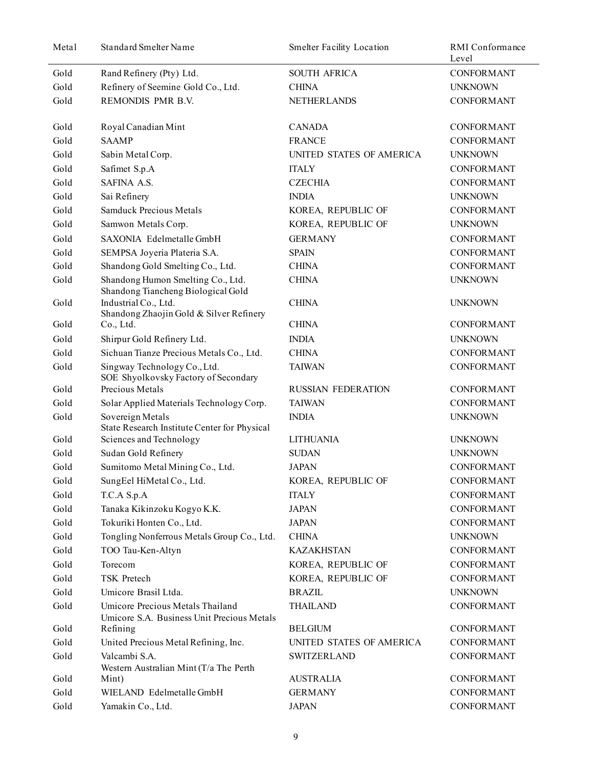| Metal | <b>Standard Smelter Name</b>                                                   | <b>Smelter Facility Location</b> | RMI Conformance<br>Level |
|-------|--------------------------------------------------------------------------------|----------------------------------|--------------------------|
| Gold  | Rand Refinery (Pty) Ltd.                                                       | <b>SOUTH AFRICA</b>              | <b>CONFORMANT</b>        |
| Gold  | Refinery of Seemine Gold Co., Ltd.                                             | <b>CHINA</b>                     | <b>UNKNOWN</b>           |
| Gold  | REMONDIS PMR B.V.                                                              | <b>NETHERLANDS</b>               | <b>CONFORMANT</b>        |
| Gold  | Royal Canadian Mint                                                            | <b>CANADA</b>                    | CONFORMANT               |
| Gold  | <b>SAAMP</b>                                                                   | <b>FRANCE</b>                    | CONFORMANT               |
| Gold  | Sabin Metal Corp.                                                              | UNITED STATES OF AMERICA         | <b>UNKNOWN</b>           |
| Gold  | Safimet S.p.A                                                                  | <b>ITALY</b>                     | CONFORMANT               |
| Gold  | SAFINA A.S.                                                                    | <b>CZECHIA</b>                   | CONFORMANT               |
| Gold  | Sai Refinery                                                                   | <b>INDIA</b>                     | <b>UNKNOWN</b>           |
| Gold  | <b>Samduck Precious Metals</b>                                                 | KOREA, REPUBLIC OF               | CONFORMANT               |
| Gold  | Samwon Metals Corp.                                                            | KOREA, REPUBLIC OF               | <b>UNKNOWN</b>           |
| Gold  | SAXONIA Edelmetalle GmbH                                                       | <b>GERMANY</b>                   | CONFORMANT               |
| Gold  | SEMPSA Joyeria Plateria S.A.                                                   | <b>SPAIN</b>                     | <b>CONFORMANT</b>        |
| Gold  | Shandong Gold Smelting Co., Ltd.                                               | <b>CHINA</b>                     | <b>CONFORMANT</b>        |
| Gold  | Shandong Humon Smelting Co., Ltd.<br>Shandong Tiancheng Biological Gold        | <b>CHINA</b>                     | <b>UNKNOWN</b>           |
| Gold  | Industrial Co., Ltd.<br>Shandong Zhaojin Gold & Silver Refinery                | <b>CHINA</b>                     | <b>UNKNOWN</b>           |
| Gold  | Co., Ltd.                                                                      | <b>CHINA</b>                     | <b>CONFORMANT</b>        |
| Gold  | Shirpur Gold Refinery Ltd.                                                     | <b>INDIA</b>                     | <b>UNKNOWN</b>           |
| Gold  | Sichuan Tianze Precious Metals Co., Ltd.                                       | <b>CHINA</b>                     | <b>CONFORMANT</b>        |
| Gold  | Singway Technology Co., Ltd.<br>SOE Shyolkovsky Factory of Secondary           | <b>TAIWAN</b>                    | <b>CONFORMANT</b>        |
| Gold  | Precious Metals                                                                | <b>RUSSIAN FEDERATION</b>        | CONFORMANT               |
| Gold  | Solar Applied Materials Technology Corp.                                       | <b>TAIWAN</b>                    | <b>CONFORMANT</b>        |
| Gold  | Sovereign Metals<br>State Research Institute Center for Physical               | <b>INDIA</b>                     | <b>UNKNOWN</b>           |
| Gold  | Sciences and Technology                                                        | <b>LITHUANIA</b>                 | <b>UNKNOWN</b>           |
| Gold  | Sudan Gold Refinery                                                            | <b>SUDAN</b>                     | <b>UNKNOWN</b>           |
| Gold  | Sumitomo Metal Mining Co., Ltd.                                                | <b>JAPAN</b>                     | <b>CONFORMANT</b>        |
| Gold  | SungEel HiMetal Co., Ltd.                                                      | KOREA, REPUBLIC OF               | CONFORMANT               |
| Gold  | T.C.A S.p.A                                                                    | <b>ITALY</b>                     | CONFORMANT               |
| Gold  | Tanaka Kikinzoku Kogyo K.K.                                                    | <b>JAPAN</b>                     | <b>CONFORMANT</b>        |
| Gold  | Tokuriki Honten Co., Ltd.                                                      | <b>JAPAN</b>                     | <b>CONFORMANT</b>        |
| Gold  | Tongling Nonferrous Metals Group Co., Ltd.                                     | <b>CHINA</b>                     | <b>UNKNOWN</b>           |
| Gold  | TOO Tau-Ken-Altyn                                                              | <b>KAZAKHSTAN</b>                | <b>CONFORMANT</b>        |
| Gold  | Torecom                                                                        | KOREA, REPUBLIC OF               | <b>CONFORMANT</b>        |
| Gold  | TSK Pretech                                                                    | KOREA, REPUBLIC OF               | <b>CONFORMANT</b>        |
| Gold  | Umicore Brasil Ltda.                                                           | <b>BRAZIL</b>                    | <b>UNKNOWN</b>           |
| Gold  | Umicore Precious Metals Thailand<br>Umicore S.A. Business Unit Precious Metals | <b>THAILAND</b>                  | <b>CONFORMANT</b>        |
| Gold  | Refining                                                                       | <b>BELGIUM</b>                   | <b>CONFORMANT</b>        |
| Gold  | United Precious Metal Refining, Inc.                                           | UNITED STATES OF AMERICA         | <b>CONFORMANT</b>        |
| Gold  | Valcambi S.A.                                                                  | <b>SWITZERLAND</b>               | <b>CONFORMANT</b>        |
| Gold  | Western Australian Mint (T/a The Perth<br>Mint)                                | <b>AUSTRALIA</b>                 | CONFORMANT               |
| Gold  | WIELAND Edelmetalle GmbH                                                       | <b>GERMANY</b>                   | <b>CONFORMANT</b>        |
| Gold  | Yamakin Co., Ltd.                                                              | <b>JAPAN</b>                     | CONFORMANT               |
|       |                                                                                |                                  |                          |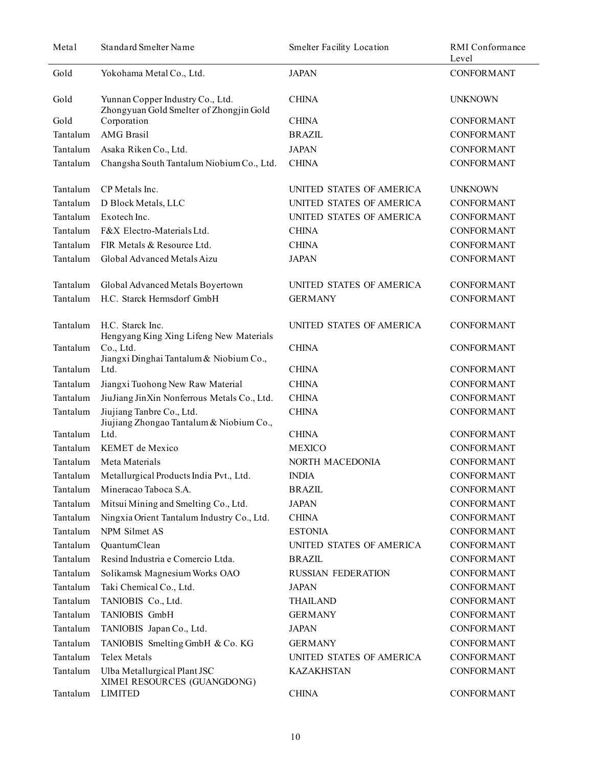| Metal    | <b>Standard Smelter Name</b>                                                | <b>Smelter Facility Location</b> | RMI Conformance<br>Level |
|----------|-----------------------------------------------------------------------------|----------------------------------|--------------------------|
| Gold     | Yokohama Metal Co., Ltd.                                                    | <b>JAPAN</b>                     | <b>CONFORMANT</b>        |
| Gold     | Yunnan Copper Industry Co., Ltd.<br>Zhongyuan Gold Smelter of Zhongjin Gold | <b>CHINA</b>                     | <b>UNKNOWN</b>           |
| Gold     | Corporation                                                                 | <b>CHINA</b>                     | CONFORMANT               |
| Tantalum | <b>AMG</b> Brasil                                                           | <b>BRAZIL</b>                    | <b>CONFORMANT</b>        |
| Tantalum | Asaka Riken Co., Ltd.                                                       | <b>JAPAN</b>                     | <b>CONFORMANT</b>        |
| Tantalum | Changsha South Tantalum Niobium Co., Ltd.                                   | <b>CHINA</b>                     | <b>CONFORMANT</b>        |
| Tantalum | CP Metals Inc.                                                              | UNITED STATES OF AMERICA         | <b>UNKNOWN</b>           |
| Tantalum | D Block Metals, LLC                                                         | UNITED STATES OF AMERICA         | <b>CONFORMANT</b>        |
| Tantalum | Exotech Inc.                                                                | UNITED STATES OF AMERICA         | <b>CONFORMANT</b>        |
| Tantalum | F&X Electro-Materials Ltd.                                                  | <b>CHINA</b>                     | <b>CONFORMANT</b>        |
| Tantalum | FIR Metals & Resource Ltd.                                                  | <b>CHINA</b>                     | <b>CONFORMANT</b>        |
| Tantalum | Global Advanced Metals Aizu                                                 | <b>JAPAN</b>                     | <b>CONFORMANT</b>        |
| Tantalum | Global Advanced Metals Boyertown                                            | UNITED STATES OF AMERICA         | CONFORMANT               |
| Tantalum | H.C. Starck Hermsdorf GmbH                                                  | <b>GERMANY</b>                   | <b>CONFORMANT</b>        |
| Tantalum | H.C. Starck Inc.<br>Hengyang King Xing Lifeng New Materials                 | UNITED STATES OF AMERICA         | <b>CONFORMANT</b>        |
| Tantalum | Co., Ltd.<br>Jiangxi Dinghai Tantalum & Niobium Co.,                        | <b>CHINA</b>                     | <b>CONFORMANT</b>        |
| Tantalum | Ltd.                                                                        | <b>CHINA</b>                     | <b>CONFORMANT</b>        |
| Tantalum | Jiangxi Tuohong New Raw Material                                            | <b>CHINA</b>                     | <b>CONFORMANT</b>        |
| Tantalum | JiuJiang JinXin Nonferrous Metals Co., Ltd.                                 | <b>CHINA</b>                     | <b>CONFORMANT</b>        |
| Tantalum | Jiujiang Tanbre Co., Ltd.<br>Jiujiang Zhongao Tantalum & Niobium Co.,       | <b>CHINA</b>                     | <b>CONFORMANT</b>        |
| Tantalum | Ltd.                                                                        | <b>CHINA</b>                     | <b>CONFORMANT</b>        |
| Tantalum | KEMET de Mexico                                                             | <b>MEXICO</b>                    | <b>CONFORMANT</b>        |
| Tantalum | Meta Materials                                                              | NORTH MACEDONIA                  | <b>CONFORMANT</b>        |
|          | Tantalum Metallurgical Products India Pvt., Ltd.                            | <b>INDIA</b>                     | <b>CONFORMANT</b>        |
| Tantalum | Mineracao Taboca S.A.                                                       | <b>BRAZIL</b>                    | <b>CONFORMANT</b>        |
| Tantalum | Mitsui Mining and Smelting Co., Ltd.                                        | <b>JAPAN</b>                     | <b>CONFORMANT</b>        |
| Tantalum | Ningxia Orient Tantalum Industry Co., Ltd.                                  | <b>CHINA</b>                     | <b>CONFORMANT</b>        |
| Tantalum | NPM Silmet AS                                                               | <b>ESTONIA</b>                   | <b>CONFORMANT</b>        |
| Tantalum | QuantumClean                                                                | UNITED STATES OF AMERICA         | CONFORMANT               |
| Tantalum | Resind Industria e Comercio Ltda.                                           | <b>BRAZIL</b>                    | <b>CONFORMANT</b>        |
| Tantalum | Solikamsk Magnesium Works OAO                                               | <b>RUSSIAN FEDERATION</b>        | <b>CONFORMANT</b>        |
| Tantalum | Taki Chemical Co., Ltd.                                                     | <b>JAPAN</b>                     | <b>CONFORMANT</b>        |
| Tantalum | TANIOBIS Co., Ltd.                                                          | <b>THAILAND</b>                  | <b>CONFORMANT</b>        |
| Tantalum | TANIOBIS GmbH                                                               | <b>GERMANY</b>                   | <b>CONFORMANT</b>        |
| Tantalum | TANIOBIS Japan Co., Ltd.                                                    | <b>JAPAN</b>                     | <b>CONFORMANT</b>        |
| Tantalum | TANIOBIS Smelting GmbH & Co. KG                                             | <b>GERMANY</b>                   | CONFORMANT               |
| Tantalum | Telex Metals                                                                | UNITED STATES OF AMERICA         | <b>CONFORMANT</b>        |
| Tantalum | Ulba Metallurgical Plant JSC<br>XIMEI RESOURCES (GUANGDONG)                 | <b>KAZAKHSTAN</b>                | <b>CONFORMANT</b>        |
| Tantalum | <b>LIMITED</b>                                                              | <b>CHINA</b>                     | <b>CONFORMANT</b>        |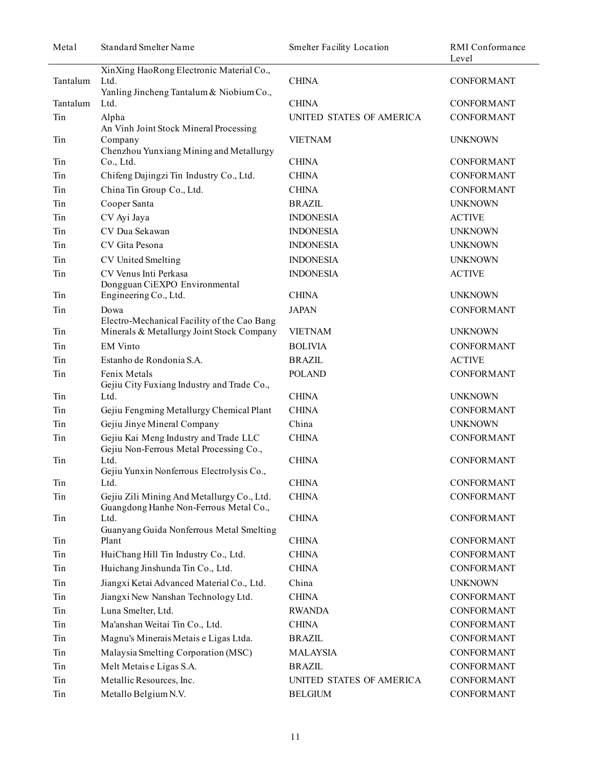| Metal    | Standard Smelter Name                                                                    | <b>Smelter Facility Location</b> | RMI Conformance<br>Level |
|----------|------------------------------------------------------------------------------------------|----------------------------------|--------------------------|
| Tantalum | XinXing HaoRong Electronic Material Co.,<br>Ltd.                                         | <b>CHINA</b>                     | CONFORMANT               |
| Tantalum | Yanling Jincheng Tantalum & Niobium Co.,<br>Ltd.                                         | <b>CHINA</b>                     | <b>CONFORMANT</b>        |
| Tin      | Alpha                                                                                    | UNITED STATES OF AMERICA         | <b>CONFORMANT</b>        |
|          | An Vinh Joint Stock Mineral Processing                                                   |                                  |                          |
| Tin      | Company<br>Chenzhou Yunxiang Mining and Metallurgy                                       | <b>VIETNAM</b>                   | <b>UNKNOWN</b>           |
| Tin      | Co., Ltd.                                                                                | <b>CHINA</b>                     | <b>CONFORMANT</b>        |
| Tin      | Chifeng Dajingzi Tin Industry Co., Ltd.                                                  | <b>CHINA</b>                     | <b>CONFORMANT</b>        |
| Tin      | China Tin Group Co., Ltd.                                                                | <b>CHINA</b>                     | <b>CONFORMANT</b>        |
| Tin      | Cooper Santa                                                                             | <b>BRAZIL</b>                    | <b>UNKNOWN</b>           |
| Tin      | CV Ayi Jaya                                                                              | <b>INDONESIA</b>                 | <b>ACTIVE</b>            |
| Tin      | CV Dua Sekawan                                                                           | <b>INDONESIA</b>                 | <b>UNKNOWN</b>           |
| Tin      | CV Gita Pesona                                                                           | <b>INDONESIA</b>                 | <b>UNKNOWN</b>           |
| Tin      | CV United Smelting                                                                       | <b>INDONESIA</b>                 | <b>UNKNOWN</b>           |
| Tin      | CV Venus Inti Perkasa<br>Dongguan CiEXPO Environmental                                   | <b>INDONESIA</b>                 | <b>ACTIVE</b>            |
| Tin      | Engineering Co., Ltd.                                                                    | <b>CHINA</b>                     | <b>UNKNOWN</b>           |
| Tin      | Dowa                                                                                     | <b>JAPAN</b>                     | <b>CONFORMANT</b>        |
| Tin      | Electro-Mechanical Facility of the Cao Bang<br>Minerals & Metallurgy Joint Stock Company | <b>VIETNAM</b>                   | <b>UNKNOWN</b>           |
| Tin      | <b>EM Vinto</b>                                                                          | <b>BOLIVIA</b>                   | <b>CONFORMANT</b>        |
| Tin      | Estanho de Rondonia S.A.                                                                 | <b>BRAZIL</b>                    | <b>ACTIVE</b>            |
| Tin      | Fenix Metals<br>Gejiu City Fuxiang Industry and Trade Co.,                               | <b>POLAND</b>                    | <b>CONFORMANT</b>        |
| Tin      | Ltd.                                                                                     | <b>CHINA</b>                     | <b>UNKNOWN</b>           |
| Tin      | Gejiu Fengming Metallurgy Chemical Plant                                                 | <b>CHINA</b>                     | <b>CONFORMANT</b>        |
| Tin      | Gejiu Jinye Mineral Company                                                              | China                            | <b>UNKNOWN</b>           |
| Tin      | Gejiu Kai Meng Industry and Trade LLC<br>Gejiu Non-Ferrous Metal Processing Co.,         | <b>CHINA</b>                     | <b>CONFORMANT</b>        |
| Tin      | Ltd.<br>Gejiu Yunxin Nonferrous Electrolysis Co.,                                        | <b>CHINA</b>                     | <b>CONFORMANT</b>        |
| Tin      | Ltd.                                                                                     | <b>CHINA</b>                     | <b>CONFORMANT</b>        |
| Tin      | Gejiu Zili Mining And Metallurgy Co., Ltd.<br>Guangdong Hanhe Non-Ferrous Metal Co.,     | <b>CHINA</b>                     | <b>CONFORMANT</b>        |
| Tin      | Ltd.<br>Guanyang Guida Nonferrous Metal Smelting                                         | <b>CHINA</b>                     | CONFORMANT               |
| Tin      | Plant                                                                                    | <b>CHINA</b>                     | <b>CONFORMANT</b>        |
| Tin      | HuiChang Hill Tin Industry Co., Ltd.                                                     | <b>CHINA</b>                     | <b>CONFORMANT</b>        |
| Tin      | Huichang Jinshunda Tin Co., Ltd.                                                         | <b>CHINA</b>                     | <b>CONFORMANT</b>        |
| Tin      | Jiangxi Ketai Advanced Material Co., Ltd.                                                | China                            | <b>UNKNOWN</b>           |
| Tin      | Jiangxi New Nanshan Technology Ltd.                                                      | <b>CHINA</b>                     | <b>CONFORMANT</b>        |
| Tin      | Luna Smelter, Ltd.                                                                       | <b>RWANDA</b>                    | <b>CONFORMANT</b>        |
| Tin      | Ma'anshan Weitai Tin Co., Ltd.                                                           | <b>CHINA</b>                     | <b>CONFORMANT</b>        |
| Tin      | Magnu's Minerais Metais e Ligas Ltda.                                                    | <b>BRAZIL</b>                    | <b>CONFORMANT</b>        |
| Tin      | Malaysia Smelting Corporation (MSC)                                                      | <b>MALAYSIA</b>                  | <b>CONFORMANT</b>        |
| Tin      | Melt Metaise Ligas S.A.                                                                  | <b>BRAZIL</b>                    | CONFORMANT               |
| Tin      | Metallic Resources, Inc.                                                                 | UNITED STATES OF AMERICA         | CONFORMANT               |
| Tin      | Metallo Belgium N.V.                                                                     | <b>BELGIUM</b>                   | CONFORMANT               |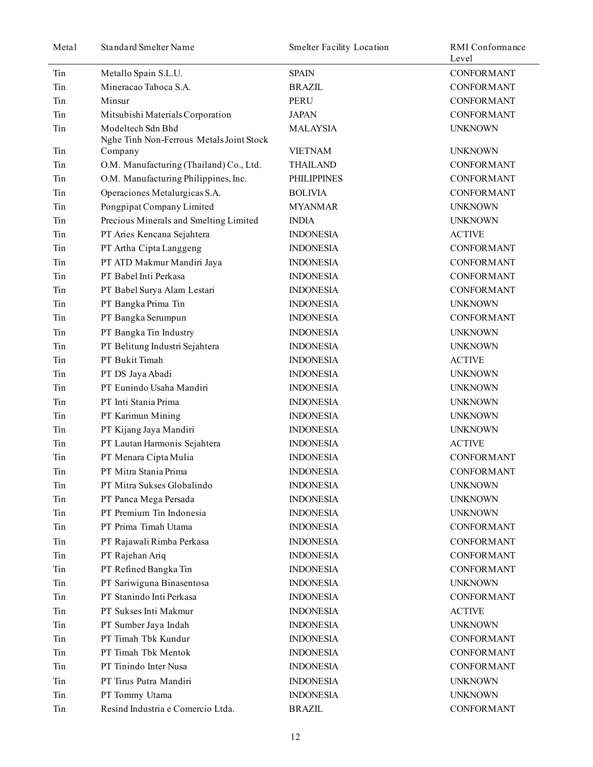| Metal | <b>Standard Smelter Name</b>             | <b>Smelter Facility Location</b> | RMI Conformance<br>Level |
|-------|------------------------------------------|----------------------------------|--------------------------|
| Tin   | Metallo Spain S.L.U.                     | <b>SPAIN</b>                     | <b>CONFORMANT</b>        |
| Tin   | Mineracao Taboca S.A.                    | <b>BRAZIL</b>                    | <b>CONFORMANT</b>        |
| Tin   | Minsur                                   | <b>PERU</b>                      | <b>CONFORMANT</b>        |
| Tin   | Mitsubishi Materials Corporation         | <b>JAPAN</b>                     | <b>CONFORMANT</b>        |
| Tin   | Modeltech Sdn Bhd                        | <b>MALAYSIA</b>                  | <b>UNKNOWN</b>           |
|       | Nghe Tinh Non-Ferrous Metals Joint Stock |                                  |                          |
| Tin   | Company                                  | <b>VIETNAM</b>                   | <b>UNKNOWN</b>           |
| Tin   | O.M. Manufacturing (Thailand) Co., Ltd.  | <b>THAILAND</b>                  | <b>CONFORMANT</b>        |
| Tin   | O.M. Manufacturing Philippines, Inc.     | <b>PHILIPPINES</b>               | <b>CONFORMANT</b>        |
| Tin   | Operaciones Metalurgicas S.A.            | <b>BOLIVIA</b>                   | CONFORMANT               |
| Tin   | Pongpipat Company Limited                | <b>MYANMAR</b>                   | <b>UNKNOWN</b>           |
| Tin   | Precious Minerals and Smelting Limited   | <b>INDIA</b>                     | <b>UNKNOWN</b>           |
| Tin   | PT Aries Kencana Sejahtera               | <b>INDONESIA</b>                 | <b>ACTIVE</b>            |
| Tin   | PT Artha Cipta Langgeng                  | <b>INDONESIA</b>                 | <b>CONFORMANT</b>        |
| Tin   | PT ATD Makmur Mandiri Jaya               | <b>INDONESIA</b>                 | CONFORMANT               |
| Tin   | PT Babel Inti Perkasa                    | <b>INDONESIA</b>                 | <b>CONFORMANT</b>        |
| Tin   | PT Babel Surya Alam Lestari              | <b>INDONESIA</b>                 | <b>CONFORMANT</b>        |
| Tin   | PT Bangka Prima Tin                      | <b>INDONESIA</b>                 | <b>UNKNOWN</b>           |
| Tin   | PT Bangka Serumpun                       | <b>INDONESIA</b>                 | CONFORMANT               |
| Tin   | PT Bangka Tin Industry                   | <b>INDONESIA</b>                 | <b>UNKNOWN</b>           |
| Tin   | PT Belitung Industri Sejahtera           | <b>INDONESIA</b>                 | <b>UNKNOWN</b>           |
| Tin   | PT Bukit Timah                           | <b>INDONESIA</b>                 | <b>ACTIVE</b>            |
| Tin   | PT DS Jaya Abadi                         | <b>INDONESIA</b>                 | <b>UNKNOWN</b>           |
| Tin   | PT Eunindo Usaha Mandiri                 | <b>INDONESIA</b>                 | <b>UNKNOWN</b>           |
| Tin   | PT Inti Stania Prima                     | <b>INDONESIA</b>                 | <b>UNKNOWN</b>           |
| Tin   | PT Karimun Mining                        | <b>INDONESIA</b>                 | <b>UNKNOWN</b>           |
| Tin   | PT Kijang Jaya Mandiri                   | <b>INDONESIA</b>                 | <b>UNKNOWN</b>           |
| Tin   | PT Lautan Harmonis Sejahtera             | <b>INDONESIA</b>                 | <b>ACTIVE</b>            |
| Tin   | PT Menara Cipta Mulia                    | <b>INDONESIA</b>                 | <b>CONFORMANT</b>        |
| Tin   | PT Mitra Stania Prima                    | <b>INDONESIA</b>                 | <b>CONFORMANT</b>        |
| Tin   | PT Mitra Sukses Globalindo               | <b>INDONESIA</b>                 | <b>UNKNOWN</b>           |
| Tin   | PT Panca Mega Persada                    | <b>INDONESIA</b>                 | <b>UNKNOWN</b>           |
| Tin   | PT Premium Tin Indonesia                 | <b>INDONESIA</b>                 | <b>UNKNOWN</b>           |
| Tin   | PT Prima Timah Utama                     | <b>INDONESIA</b>                 | <b>CONFORMANT</b>        |
| Tin   | PT Rajawali Rimba Perkasa                | <b>INDONESIA</b>                 | <b>CONFORMANT</b>        |
| Tin   | PT Rajehan Ariq                          | <b>INDONESIA</b>                 | <b>CONFORMANT</b>        |
| Tin   | PT Refined Bangka Tin                    | <b>INDONESIA</b>                 | <b>CONFORMANT</b>        |
| Tin   | PT Sariwiguna Binasentosa                | <b>INDONESIA</b>                 | <b>UNKNOWN</b>           |
| Tin   | PT Stanindo Inti Perkasa                 | <b>INDONESIA</b>                 | <b>CONFORMANT</b>        |
| Tin   | PT Sukses Inti Makmur                    | <b>INDONESIA</b>                 | <b>ACTIVE</b>            |
| Tin   | PT Sumber Jaya Indah                     | <b>INDONESIA</b>                 | <b>UNKNOWN</b>           |
| Tin   | PT Timah Tbk Kundur                      | <b>INDONESIA</b>                 | <b>CONFORMANT</b>        |
| Tin   | PT Timah Tbk Mentok                      | <b>INDONESIA</b>                 | <b>CONFORMANT</b>        |
| Tin   | PT Tinindo Inter Nusa                    | <b>INDONESIA</b>                 | <b>CONFORMANT</b>        |
| Tin   | PT Tirus Putra Mandiri                   | <b>INDONESIA</b>                 | <b>UNKNOWN</b>           |
| Tin   | PT Tommy Utama                           | <b>INDONESIA</b>                 | <b>UNKNOWN</b>           |
| Tin   | Resind Industria e Comercio Ltda.        | <b>BRAZIL</b>                    | <b>CONFORMANT</b>        |
|       |                                          |                                  |                          |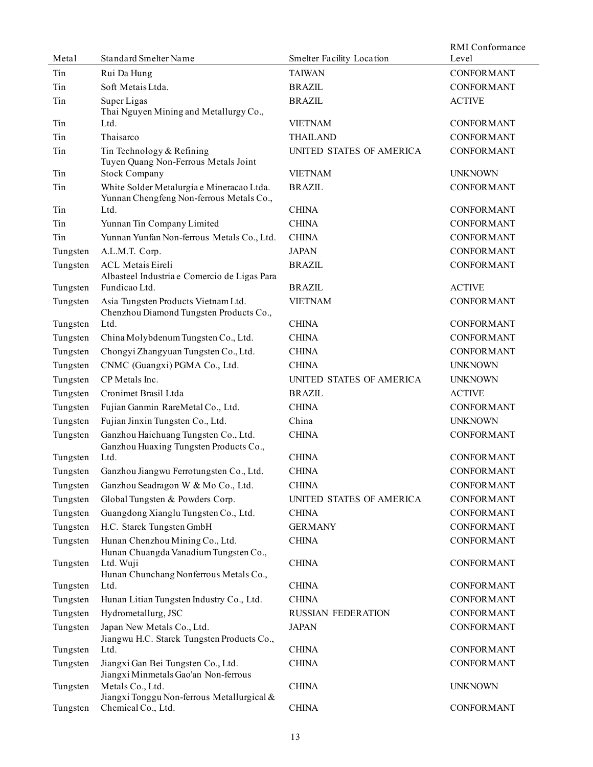| Metal    | Standard Smelter Name                                                                 | <b>Smelter Facility Location</b> | RMI Conformance<br>Level |
|----------|---------------------------------------------------------------------------------------|----------------------------------|--------------------------|
| Tin      | Rui Da Hung                                                                           | <b>TAIWAN</b>                    | <b>CONFORMANT</b>        |
| Tin      | Soft Metais Ltda.                                                                     | <b>BRAZIL</b>                    | <b>CONFORMANT</b>        |
|          |                                                                                       | <b>BRAZIL</b>                    | <b>ACTIVE</b>            |
| Tin      | Super Ligas<br>Thai Nguyen Mining and Metallurgy Co.,                                 |                                  |                          |
| Tin      | Ltd.                                                                                  | <b>VIETNAM</b>                   | <b>CONFORMANT</b>        |
| Tin      | Thaisarco                                                                             | <b>THAILAND</b>                  | <b>CONFORMANT</b>        |
| Tin      | Tin Technology & Refining<br>Tuyen Quang Non-Ferrous Metals Joint                     | UNITED STATES OF AMERICA         | <b>CONFORMANT</b>        |
| Tin      | <b>Stock Company</b>                                                                  | <b>VIETNAM</b>                   | <b>UNKNOWN</b>           |
| Tin      | White Solder Metalurgia e Mineracao Ltda.<br>Yunnan Chengfeng Non-ferrous Metals Co., | <b>BRAZIL</b>                    | <b>CONFORMANT</b>        |
| Tin      | Ltd.                                                                                  | <b>CHINA</b>                     | <b>CONFORMANT</b>        |
| Tin      | Yunnan Tin Company Limited                                                            | <b>CHINA</b>                     | <b>CONFORMANT</b>        |
| Tin      | Yunnan Yunfan Non-ferrous Metals Co., Ltd.                                            | <b>CHINA</b>                     | <b>CONFORMANT</b>        |
| Tungsten | A.L.M.T. Corp.                                                                        | <b>JAPAN</b>                     | <b>CONFORMANT</b>        |
| Tungsten | <b>ACL Metais Eireli</b><br>Albasteel Industria e Comercio de Ligas Para              | <b>BRAZIL</b>                    | <b>CONFORMANT</b>        |
| Tungsten | Fundicao Ltd.                                                                         | <b>BRAZIL</b>                    | <b>ACTIVE</b>            |
| Tungsten | Asia Tungsten Products Vietnam Ltd.<br>Chenzhou Diamond Tungsten Products Co.,        | <b>VIETNAM</b>                   | <b>CONFORMANT</b>        |
| Tungsten | Ltd.                                                                                  | <b>CHINA</b>                     | <b>CONFORMANT</b>        |
| Tungsten | China Molybdenum Tungsten Co., Ltd.                                                   | <b>CHINA</b>                     | <b>CONFORMANT</b>        |
| Tungsten | Chongyi Zhangyuan Tungsten Co., Ltd.                                                  | <b>CHINA</b>                     | <b>CONFORMANT</b>        |
| Tungsten | CNMC (Guangxi) PGMA Co., Ltd.                                                         | <b>CHINA</b>                     | <b>UNKNOWN</b>           |
| Tungsten | CP Metals Inc.                                                                        | UNITED STATES OF AMERICA         | <b>UNKNOWN</b>           |
| Tungsten | Cronimet Brasil Ltda                                                                  | <b>BRAZIL</b>                    | <b>ACTIVE</b>            |
| Tungsten | Fujian Ganmin RareMetal Co., Ltd.                                                     | <b>CHINA</b>                     | <b>CONFORMANT</b>        |
| Tungsten | Fujian Jinxin Tungsten Co., Ltd.                                                      | China                            | <b>UNKNOWN</b>           |
| Tungsten | Ganzhou Haichuang Tungsten Co., Ltd.<br>Ganzhou Huaxing Tungsten Products Co.,        | <b>CHINA</b>                     | <b>CONFORMANT</b>        |
| Tungsten | Ltd.                                                                                  | <b>CHINA</b>                     | <b>CONFORMANT</b>        |
| Tungsten | Ganzhou Jiangwu Ferrotungsten Co., Ltd.                                               | <b>CHINA</b>                     | CONFORMANT               |
| Tungsten | Ganzhou Seadragon W & Mo Co., Ltd.                                                    | <b>CHINA</b>                     | <b>CONFORMANT</b>        |
| Tungsten | Global Tungsten & Powders Corp.                                                       | UNITED STATES OF AMERICA         | <b>CONFORMANT</b>        |
| Tungsten | Guangdong Xianglu Tungsten Co., Ltd.                                                  | <b>CHINA</b>                     | <b>CONFORMANT</b>        |
| Tungsten | H.C. Starck Tungsten GmbH                                                             | <b>GERMANY</b>                   | <b>CONFORMANT</b>        |
| Tungsten | Hunan Chenzhou Mining Co., Ltd.<br>Hunan Chuangda Vanadium Tungsten Co.,              | <b>CHINA</b>                     | CONFORMANT               |
| Tungsten | Ltd. Wuji<br>Hunan Chunchang Nonferrous Metals Co.,                                   | <b>CHINA</b>                     | <b>CONFORMANT</b>        |
| Tungsten | Ltd.                                                                                  | <b>CHINA</b>                     | <b>CONFORMANT</b>        |
| Tungsten | Hunan Litian Tungsten Industry Co., Ltd.                                              | <b>CHINA</b>                     | <b>CONFORMANT</b>        |
| Tungsten | Hydrometallurg, JSC                                                                   | <b>RUSSIAN FEDERATION</b>        | <b>CONFORMANT</b>        |
| Tungsten | Japan New Metals Co., Ltd.<br>Jiangwu H.C. Starck Tungsten Products Co.,              | <b>JAPAN</b>                     | <b>CONFORMANT</b>        |
| Tungsten | Ltd.                                                                                  | <b>CHINA</b>                     | <b>CONFORMANT</b>        |
| Tungsten | Jiangxi Gan Bei Tungsten Co., Ltd.<br>Jiangxi Minmetals Gao'an Non-ferrous            | <b>CHINA</b>                     | <b>CONFORMANT</b>        |
| Tungsten | Metals Co., Ltd.<br>Jiangxi Tonggu Non-ferrous Metallurgical &                        | <b>CHINA</b>                     | <b>UNKNOWN</b>           |
| Tungsten | Chemical Co., Ltd.                                                                    | <b>CHINA</b>                     | <b>CONFORMANT</b>        |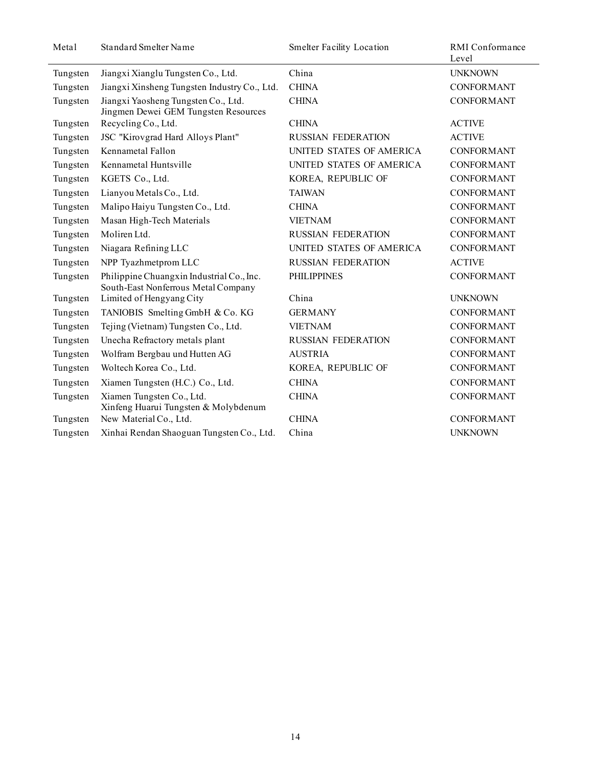| Metal    | Standard Smelter Name                                                            | <b>Smelter Facility Location</b> | RMI Conformance<br>Level |
|----------|----------------------------------------------------------------------------------|----------------------------------|--------------------------|
| Tungsten | Jiangxi Xianglu Tungsten Co., Ltd.                                               | China                            | <b>UNKNOWN</b>           |
| Tungsten | Jiangxi Xinsheng Tungsten Industry Co., Ltd.                                     | <b>CHINA</b>                     | <b>CONFORMANT</b>        |
| Tungsten | Jiangxi Yaosheng Tungsten Co., Ltd.<br>Jingmen Dewei GEM Tungsten Resources      | <b>CHINA</b>                     | <b>CONFORMANT</b>        |
| Tungsten | Recycling Co., Ltd.                                                              | <b>CHINA</b>                     | <b>ACTIVE</b>            |
| Tungsten | JSC "Kirovgrad Hard Alloys Plant"                                                | <b>RUSSIAN FEDERATION</b>        | <b>ACTIVE</b>            |
| Tungsten | Kennametal Fallon                                                                | UNITED STATES OF AMERICA         | <b>CONFORMANT</b>        |
| Tungsten | Kennametal Huntsville                                                            | UNITED STATES OF AMERICA         | <b>CONFORMANT</b>        |
| Tungsten | KGETS Co., Ltd.                                                                  | KOREA, REPUBLIC OF               | <b>CONFORMANT</b>        |
| Tungsten | Lianyou Metals Co., Ltd.                                                         | <b>TAIWAN</b>                    | <b>CONFORMANT</b>        |
| Tungsten | Malipo Haiyu Tungsten Co., Ltd.                                                  | <b>CHINA</b>                     | <b>CONFORMANT</b>        |
| Tungsten | Masan High-Tech Materials                                                        | <b>VIETNAM</b>                   | <b>CONFORMANT</b>        |
| Tungsten | Moliren Ltd.                                                                     | <b>RUSSIAN FEDERATION</b>        | <b>CONFORMANT</b>        |
| Tungsten | Niagara Refining LLC                                                             | UNITED STATES OF AMERICA         | <b>CONFORMANT</b>        |
| Tungsten | NPP Tyazhmetprom LLC                                                             | <b>RUSSIAN FEDERATION</b>        | <b>ACTIVE</b>            |
| Tungsten | Philippine Chuangxin Industrial Co., Inc.<br>South-East Nonferrous Metal Company | <b>PHILIPPINES</b>               | <b>CONFORMANT</b>        |
| Tungsten | Limited of Hengyang City                                                         | China                            | <b>UNKNOWN</b>           |
| Tungsten | TANIOBIS Smelting GmbH & Co. KG                                                  | <b>GERMANY</b>                   | <b>CONFORMANT</b>        |
| Tungsten | Tejing (Vietnam) Tungsten Co., Ltd.                                              | <b>VIETNAM</b>                   | <b>CONFORMANT</b>        |
| Tungsten | Unecha Refractory metals plant                                                   | <b>RUSSIAN FEDERATION</b>        | <b>CONFORMANT</b>        |
| Tungsten | Wolfram Bergbau und Hutten AG                                                    | <b>AUSTRIA</b>                   | <b>CONFORMANT</b>        |
| Tungsten | Woltech Korea Co., Ltd.                                                          | KOREA, REPUBLIC OF               | <b>CONFORMANT</b>        |
| Tungsten | Xiamen Tungsten (H.C.) Co., Ltd.                                                 | <b>CHINA</b>                     | <b>CONFORMANT</b>        |
| Tungsten | Xiamen Tungsten Co., Ltd.<br>Xinfeng Huarui Tungsten & Molybdenum                | <b>CHINA</b>                     | <b>CONFORMANT</b>        |
| Tungsten | New Material Co., Ltd.                                                           | <b>CHINA</b>                     | <b>CONFORMANT</b>        |
| Tungsten | Xinhai Rendan Shaoguan Tungsten Co., Ltd.                                        | China                            | <b>UNKNOWN</b>           |